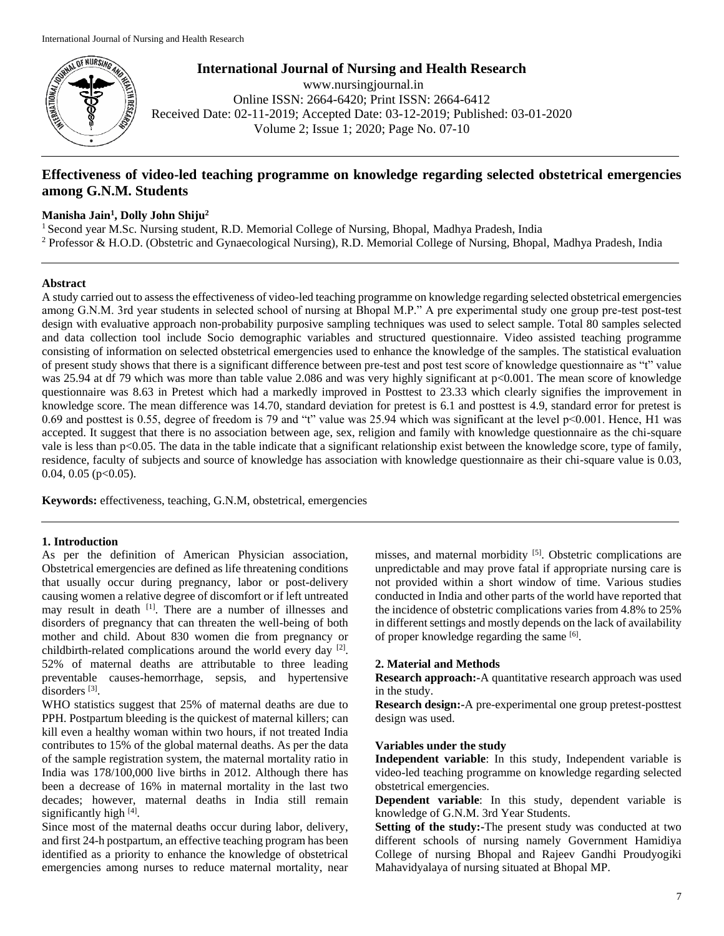

**International Journal of Nursing and Health Research** www.nursingjournal.in Online ISSN: 2664-6420; Print ISSN: 2664-6412 Received Date: 02-11-2019; Accepted Date: 03-12-2019; Published: 03-01-2020 Volume 2; Issue 1; 2020; Page No. 07-10

# **Effectiveness of video-led teaching programme on knowledge regarding selected obstetrical emergencies among G.N.M. Students**

### **Manisha Jain<sup>1</sup> , Dolly John Shiju<sup>2</sup>**

<sup>1</sup> Second year M.Sc. Nursing student, R.D. Memorial College of Nursing, Bhopal, Madhya Pradesh, India

<sup>2</sup> Professor & H.O.D. (Obstetric and Gynaecological Nursing), R.D. Memorial College of Nursing, Bhopal, Madhya Pradesh, India

### **Abstract**

A study carried out to assess the effectiveness of video-led teaching programme on knowledge regarding selected obstetrical emergencies among G.N.M. 3rd year students in selected school of nursing at Bhopal M.P." A pre experimental study one group pre-test post-test design with evaluative approach non-probability purposive sampling techniques was used to select sample. Total 80 samples selected and data collection tool include Socio demographic variables and structured questionnaire. Video assisted teaching programme consisting of information on selected obstetrical emergencies used to enhance the knowledge of the samples. The statistical evaluation of present study shows that there is a significant difference between pre-test and post test score of knowledge questionnaire as "t" value was 25.94 at df 79 which was more than table value 2.086 and was very highly significant at p<0.001. The mean score of knowledge questionnaire was 8.63 in Pretest which had a markedly improved in Posttest to 23.33 which clearly signifies the improvement in knowledge score. The mean difference was 14.70, standard deviation for pretest is 6.1 and posttest is 4.9, standard error for pretest is 0.69 and posttest is 0.55, degree of freedom is 79 and "t" value was 25.94 which was significant at the level p<0.001. Hence, H1 was accepted. It suggest that there is no association between age, sex, religion and family with knowledge questionnaire as the chi-square vale is less than p<0.05. The data in the table indicate that a significant relationship exist between the knowledge score, type of family, residence, faculty of subjects and source of knowledge has association with knowledge questionnaire as their chi-square value is 0.03, 0.04, 0.05 ( $p<0.05$ ).

**Keywords:** effectiveness, teaching, G.N.M, obstetrical, emergencies

### **1. Introduction**

As per the definition of American Physician association, Obstetrical emergencies are defined as life threatening conditions that usually occur during pregnancy, labor or post-delivery causing women a relative degree of discomfort or if left untreated may result in death <sup>[1]</sup>. There are a number of illnesses and disorders of pregnancy that can threaten the well-being of both mother and child. About 830 women die from pregnancy or childbirth-related complications around the world every day [2]. 52% of maternal deaths are attributable to three leading preventable causes-hemorrhage, sepsis, and hypertensive disorders<sup>[3]</sup>.

WHO statistics suggest that 25% of maternal deaths are due to PPH. Postpartum bleeding is the quickest of maternal killers; can kill even a healthy woman within two hours, if not treated India contributes to 15% of the global maternal deaths. As per the data of the sample registration system, the maternal mortality ratio in India was 178/100,000 live births in 2012. Although there has been a decrease of 16% in maternal mortality in the last two decades; however, maternal deaths in India still remain significantly high [4].

Since most of the maternal deaths occur during labor, delivery, and first 24-h postpartum, an effective teaching program has been identified as a priority to enhance the knowledge of obstetrical emergencies among nurses to reduce maternal mortality, near

misses, and maternal morbidity <sup>[5]</sup>. Obstetric complications are unpredictable and may prove fatal if appropriate nursing care is not provided within a short window of time. Various studies conducted in India and other parts of the world have reported that the incidence of obstetric complications varies from 4.8% to 25% in different settings and mostly depends on the lack of availability of proper knowledge regarding the same [6].

### **2. Material and Methods**

**Research approach:**-A quantitative research approach was used in the study.

**Research design:-**A pre-experimental one group pretest-posttest design was used.

#### **Variables under the study**

**Independent variable**: In this study, Independent variable is video-led teaching programme on knowledge regarding selected obstetrical emergencies.

**Dependent variable**: In this study, dependent variable is knowledge of G.N.M. 3rd Year Students.

**Setting of the study:-The present study was conducted at two** different schools of nursing namely Government Hamidiya College of nursing Bhopal and Rajeev Gandhi Proudyogiki Mahavidyalaya of nursing situated at Bhopal MP.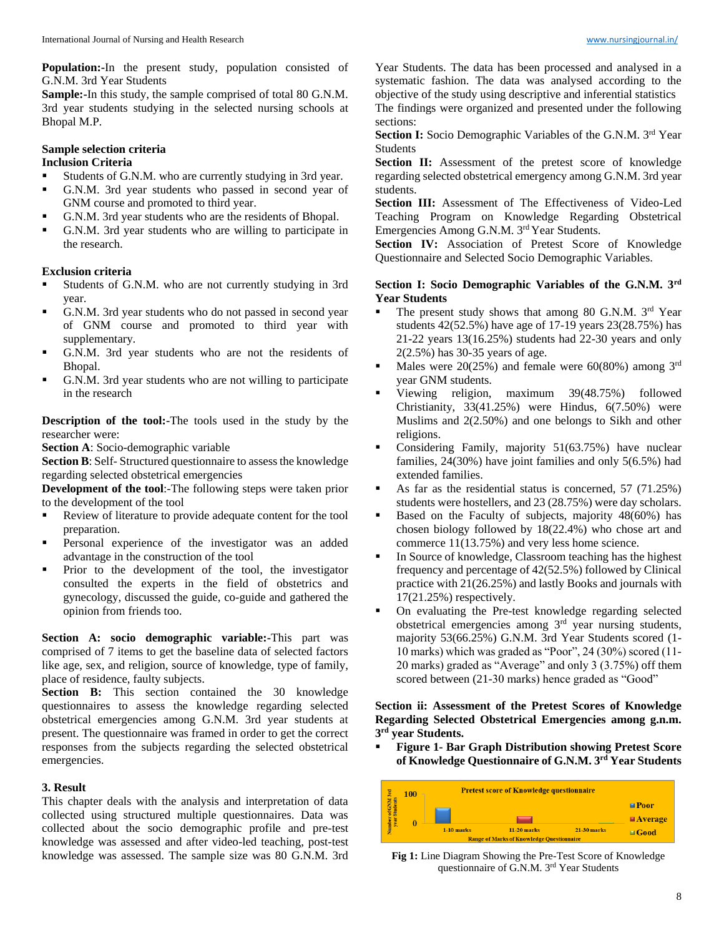**Population:-**In the present study, population consisted of G.N.M. 3rd Year Students

**Sample:-**In this study, the sample comprised of total 80 G.N.M. 3rd year students studying in the selected nursing schools at Bhopal M.P.

### **Sample selection criteria**

## **Inclusion Criteria**

- Students of G.N.M. who are currently studying in 3rd year.
- G.N.M. 3rd year students who passed in second year of GNM course and promoted to third year.
- G.N.M. 3rd year students who are the residents of Bhopal.
- G.N.M. 3rd year students who are willing to participate in the research.

### **Exclusion criteria**

- Students of G.N.M. who are not currently studying in 3rd year.
- G.N.M. 3rd year students who do not passed in second year of GNM course and promoted to third year with supplementary.
- G.N.M. 3rd year students who are not the residents of Bhopal.
- G.N.M. 3rd year students who are not willing to participate in the research

**Description of the tool:-**The tools used in the study by the researcher were:

**Section A**: Socio-demographic variable

**Section B**: Self- Structured questionnaire to assess the knowledge regarding selected obstetrical emergencies

**Development of the tool**:-The following steps were taken prior to the development of the tool

- Review of literature to provide adequate content for the tool preparation.
- Personal experience of the investigator was an added advantage in the construction of the tool
- Prior to the development of the tool, the investigator consulted the experts in the field of obstetrics and gynecology, discussed the guide, co-guide and gathered the opinion from friends too.

**Section A: socio demographic variable:-**This part was comprised of 7 items to get the baseline data of selected factors like age, sex, and religion, source of knowledge, type of family, place of residence, faulty subjects.

**Section B:** This section contained the 30 knowledge questionnaires to assess the knowledge regarding selected obstetrical emergencies among G.N.M. 3rd year students at present. The questionnaire was framed in order to get the correct responses from the subjects regarding the selected obstetrical emergencies.

### **3. Result**

This chapter deals with the analysis and interpretation of data collected using structured multiple questionnaires. Data was collected about the socio demographic profile and pre-test knowledge was assessed and after video-led teaching, post-test knowledge was assessed. The sample size was 80 G.N.M. 3rd

Year Students. The data has been processed and analysed in a systematic fashion. The data was analysed according to the objective of the study using descriptive and inferential statistics The findings were organized and presented under the following sections:

**Section I:** Socio Demographic Variables of the G.N.M. 3<sup>rd</sup> Year Students

Section II: Assessment of the pretest score of knowledge regarding selected obstetrical emergency among G.N.M. 3rd year students.

Section III: Assessment of The Effectiveness of Video-Led Teaching Program on Knowledge Regarding Obstetrical Emergencies Among G.N.M. 3rd Year Students.

Section IV: Association of Pretest Score of Knowledge Questionnaire and Selected Socio Demographic Variables.

### **Section I: Socio Demographic Variables of the G.N.M. 3rd Year Students**

- The present study shows that among 80 G.N.M. 3<sup>rd</sup> Year students 42(52.5%) have age of 17-19 years 23(28.75%) has 21-22 years 13(16.25%) students had 22-30 years and only 2(2.5%) has 30-35 years of age.
- Males were  $20(25%)$  and female were  $60(80%)$  among 3<sup>rd</sup> year GNM students.
- Viewing religion, maximum 39(48.75%) followed Christianity, 33(41.25%) were Hindus, 6(7.50%) were Muslims and 2(2.50%) and one belongs to Sikh and other religions.
- Considering Family, majority 51(63.75%) have nuclear families, 24(30%) have joint families and only 5(6.5%) had extended families.
- As far as the residential status is concerned, 57 (71.25%) students were hostellers, and 23 (28.75%) were day scholars.
- Based on the Faculty of subjects, majority 48(60%) has chosen biology followed by 18(22.4%) who chose art and commerce 11(13.75%) and very less home science.
- In Source of knowledge, Classroom teaching has the highest frequency and percentage of 42(52.5%) followed by Clinical practice with 21(26.25%) and lastly Books and journals with 17(21.25%) respectively.
- On evaluating the Pre-test knowledge regarding selected obstetrical emergencies among 3rd year nursing students, majority 53(66.25%) G.N.M. 3rd Year Students scored (1- 10 marks) which was graded as "Poor", 24 (30%) scored (11- 20 marks) graded as "Average" and only 3 (3.75%) off them scored between (21-30 marks) hence graded as "Good"

**Section ii: Assessment of the Pretest Scores of Knowledge Regarding Selected Obstetrical Emergencies among g.n.m. 3 rd year Students.**

 **Figure 1- Bar Graph Distribution showing Pretest Score of Knowledge Questionnaire of G.N.M. 3rd Year Students**



**Fig 1:** Line Diagram Showing the Pre-Test Score of Knowledge questionnaire of G.N.M. 3rd Year Students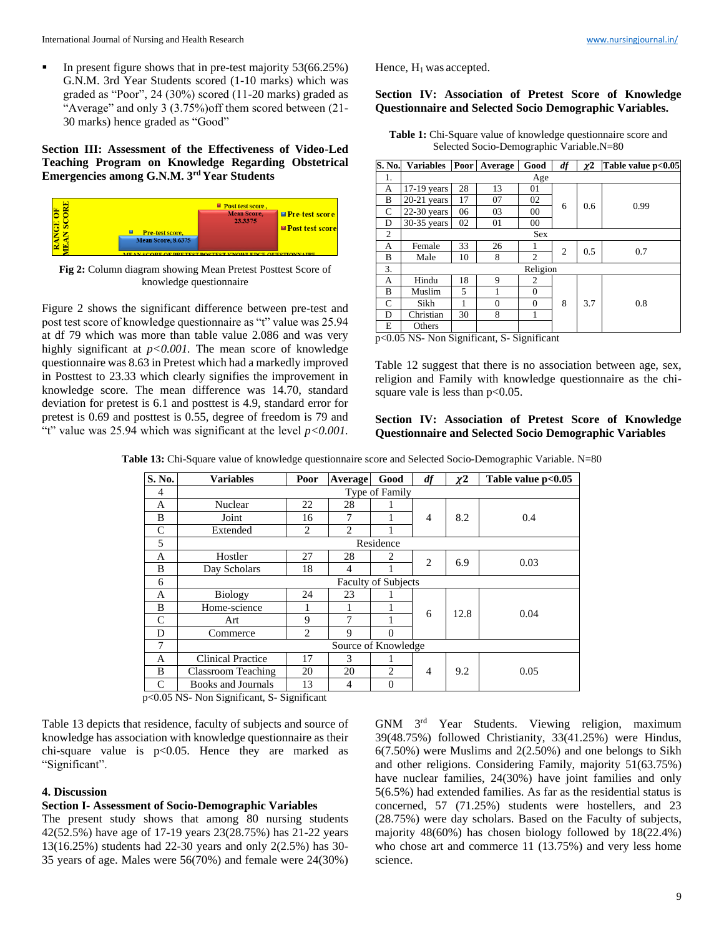In present figure shows that in pre-test majority 53(66.25%) G.N.M. 3rd Year Students scored (1-10 marks) which was graded as "Poor", 24 (30%) scored (11-20 marks) graded as "Average" and only 3 (3.75%)off them scored between (21- 30 marks) hence graded as "Good"

**Section III: Assessment of the Effectiveness of Video-Led Teaching Program on Knowledge Regarding Obstetrical Emergencies among G.N.M. 3rd Year Students**



**Fig 2:** Column diagram showing Mean Pretest Posttest Score of knowledge questionnaire

Figure 2 shows the significant difference between pre-test and post test score of knowledge questionnaire as "t" value was 25.94 at df 79 which was more than table value 2.086 and was very highly significant at  $p < 0.001$ . The mean score of knowledge questionnaire was 8.63 in Pretest which had a markedly improved in Posttest to 23.33 which clearly signifies the improvement in knowledge score. The mean difference was 14.70, standard deviation for pretest is 6.1 and posttest is 4.9, standard error for pretest is 0.69 and posttest is 0.55, degree of freedom is 79 and "t" value was 25.94 which was significant at the level *p<0.001.*

Hence,  $H_1$  was accepted.

### **Section IV: Association of Pretest Score of Knowledge Questionnaire and Selected Socio Demographic Variables.**

**Table 1:** Chi-Square value of knowledge questionnaire score and Selected Socio-Demographic Variable.N=80

| S. No.        | Variables Poor Average |    |          | Good           | df | $\chi$ <sup>2</sup> | Table value p<0.05 |  |  |  |  |
|---------------|------------------------|----|----------|----------------|----|---------------------|--------------------|--|--|--|--|
| 1.            | Age                    |    |          |                |    |                     |                    |  |  |  |  |
| А             | 17-19 years            | 28 | 13       | 01             |    | 0.6                 | 0.99               |  |  |  |  |
| B             | $20-21$ years          | 17 | 07       | 02             | 6  |                     |                    |  |  |  |  |
| $\mathcal{C}$ | $22-30$ years          | 06 | 03       | 00             |    |                     |                    |  |  |  |  |
| D             | 30-35 years            | 02 | 01       | 00             |    |                     |                    |  |  |  |  |
| 2             | <b>Sex</b>             |    |          |                |    |                     |                    |  |  |  |  |
| A             | Female                 | 33 | 26       |                | 2  | 0.5                 | 0.7                |  |  |  |  |
| B             | Male                   | 10 | 8        | $\overline{c}$ |    |                     |                    |  |  |  |  |
| 3.            | Religion               |    |          |                |    |                     |                    |  |  |  |  |
| A             | Hindu                  | 18 | 9        | 2              |    | 3.7                 | 0.8                |  |  |  |  |
| B             | Muslim                 | 5  |          | $\theta$       | 8  |                     |                    |  |  |  |  |
| $\mathsf{C}$  | Sikh                   |    | $\Omega$ | $\theta$       |    |                     |                    |  |  |  |  |
| D             | Christian              | 30 | 8        | 1              |    |                     |                    |  |  |  |  |
| E             | Others                 |    |          |                |    |                     |                    |  |  |  |  |

p<0.05 NS- Non Significant, S- Significant

Table 12 suggest that there is no association between age, sex, religion and Family with knowledge questionnaire as the chisquare vale is less than  $p<0.05$ .

### **Section IV: Association of Pretest Score of Knowledge Questionnaire and Selected Socio Demographic Variables**

**Table 13:** Chi-Square value of knowledge questionnaire score and Selected Socio-Demographic Variable. N=80

| S. No. | <b>Variables</b>           | Poor           | Average        | Good     | df             | $\chi$ <sup>2</sup> | Table value p<0.05 |  |  |  |
|--------|----------------------------|----------------|----------------|----------|----------------|---------------------|--------------------|--|--|--|
| 4      | Type of Family             |                |                |          |                |                     |                    |  |  |  |
| A      | Nuclear                    | 22             | 28             |          |                |                     |                    |  |  |  |
| B      | Joint                      | 16             | 7              |          | 4              | 8.2                 | 0.4                |  |  |  |
| C      | Extended                   | $\overline{c}$ | $\mathfrak{D}$ |          |                |                     |                    |  |  |  |
| 5      | Residence                  |                |                |          |                |                     |                    |  |  |  |
| A      | Hostler                    | 27             | 28             | 2        | $\overline{c}$ | 6.9                 | 0.03               |  |  |  |
| B      | Day Scholars               | 18             | 4              |          |                |                     |                    |  |  |  |
| 6      | <b>Faculty of Subjects</b> |                |                |          |                |                     |                    |  |  |  |
| A      | <b>Biology</b>             | 24             | 23             |          |                | 12.8                | 0.04               |  |  |  |
| B      | Home-science               | п              |                |          | 6              |                     |                    |  |  |  |
| C      | Art                        | 9              | 7              |          |                |                     |                    |  |  |  |
| D      | Commerce                   | $\overline{2}$ | 9              | $\Omega$ |                |                     |                    |  |  |  |
| 7      | Source of Knowledge        |                |                |          |                |                     |                    |  |  |  |
| A      | <b>Clinical Practice</b>   | 17             | 3              |          |                |                     |                    |  |  |  |
| B      | <b>Classroom Teaching</b>  | 20             | 20             | 2        | $\overline{4}$ | 9.2                 | 0.05               |  |  |  |
| C      | <b>Books and Journals</b>  | 13             | 4              | $\theta$ |                |                     |                    |  |  |  |

p<0.05 NS- Non Significant, S- Significant

Table 13 depicts that residence, faculty of subjects and source of knowledge has association with knowledge questionnaire as their chi-square value is  $p<0.05$ . Hence they are marked as "Significant".

#### **4. Discussion**

# **Section I- Assessment of Socio-Demographic Variables**

The present study shows that among 80 nursing students 42(52.5%) have age of 17-19 years 23(28.75%) has 21-22 years 13(16.25%) students had 22-30 years and only 2(2.5%) has 30- 35 years of age. Males were 56(70%) and female were 24(30%)

GNM 3rd Year Students. Viewing religion, maximum 39(48.75%) followed Christianity, 33(41.25%) were Hindus, 6(7.50%) were Muslims and 2(2.50%) and one belongs to Sikh and other religions. Considering Family, majority 51(63.75%) have nuclear families, 24(30%) have joint families and only 5(6.5%) had extended families. As far as the residential status is concerned, 57 (71.25%) students were hostellers, and 23 (28.75%) were day scholars. Based on the Faculty of subjects, majority 48(60%) has chosen biology followed by 18(22.4%) who chose art and commerce 11 (13.75%) and very less home science.